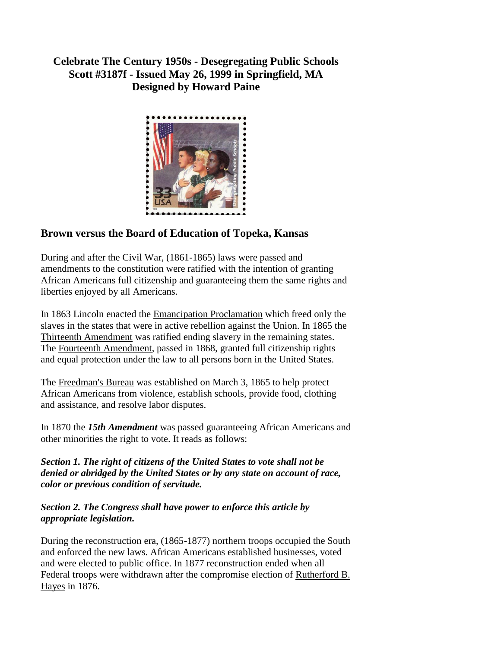**Celebrate The Century 1950s - Desegregating Public Schools Scott #3187f - Issued May 26, 1999 in Springfield, MA Designed by Howard Paine**



## **Brown versus the Board of Education of Topeka, Kansas**

During and after the Civil War, (1861-1865) laws were passed and amendments to the constitution were ratified with the intention of granting African Americans full citizenship and guaranteeing them the same rights and liberties enjoyed by all Americans.

In 1863 Lincoln enacted the [Emancipation Proclamation](http://esperstamps.org/t4.htm) which freed only the slaves in the states that were in active rebellion against the Union. In 1865 the [Thirteenth Amendment](http://esperstamps.org/aa3.htm) was ratified ending slavery in the remaining states. The [Fourteenth Amendment,](http://www.law.cornell.edu/constitution/constitution.amendmentxiv.html) passed in 1868, granted full citizenship rights and equal protection under the law to all persons born in the United States.

The [Freedman's Bureau](http://www.inform.umd.edu/ARHU/Depts/History/Freedman/fbact.htm) was established on March 3, 1865 to help protect African Americans from violence, establish schools, provide food, clothing and assistance, and resolve labor disputes.

In 1870 the *15th Amendment* was passed guaranteeing African Americans and other minorities the right to vote. It reads as follows:

*Section 1. The right of citizens of the United States to vote shall not be denied or abridged by the United States or by any state on account of race, color or previous condition of servitude.*

## *Section 2. The Congress shall have power to enforce this article by appropriate legislation.*

During the reconstruction era, (1865-1877) northern troops occupied the South and enforced the new laws. African Americans established businesses, voted and were elected to public office. In 1877 reconstruction ended when all Federal troops were withdrawn after the compromise election of [Rutherford B.](http://gi.grolier.com/presidents/ea/bios/19phaye.html)  [Hayes](http://gi.grolier.com/presidents/ea/bios/19phaye.html) in 1876.